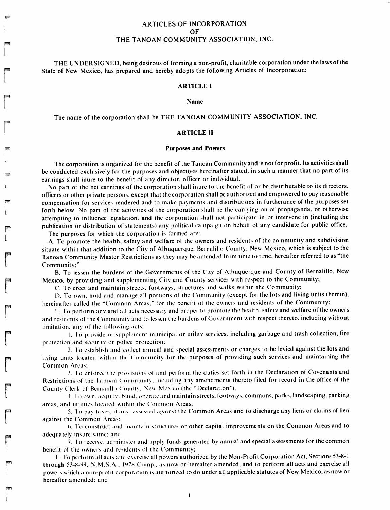# ARTICLES OF INCORPORATION OF THE TANOAN COMMUNITY ASSOCIATION, INC.

THE UNDERSIGNED, being desirous of forming a non-profit, charitable corporation under the laws of the State of New Mexico, has prepared and hereby adopts the following Articles of Incorporation:

## *ARTICLE <sup>I</sup>*

*Name*

The name of the corporation shall be THE TANOAN COMMUNITY ASSOCIATION, INC.

## *ARTICLE II*

#### *Purposes and Powers*

The corporation is organized for the benefit of the Tanoan Community and is not for profit. Its activities shall be conducted exclusively for the purposes and objectiyes hereinafter stated, in such a manner that no part of its earnings shall inure to the benefit of any director, officer or individual.

No part of the net earnings of the corporation shall inure to the benefit of or be distributable to its directors, officers or other private persons, except that thecorporation shallbeauthorizedand empowered to payreasonable compensation for services rendered and to make payments and distributions in furtherance of the purposes set forth below. No part of the activities of the corporation shall be the carrying on of propaganda, or otherwise attempting to influence legislation, and the corporation shall not participate in or intervene in (including the publication or distribution of statements) any political campaign on behalf of any candidate for public office.

The purposes for which the corporation is formed are:

*p&i*

A. To promote the health, safety and welfare of the owners and residents of the community and subdivision situate within that addition to the City of Albuquerque. Bernalillo County. New Mexico, which is subject to the Tanoan Community Master Restrictions as they may be amended from time to time, hereafter referred to as "the Community;"

B. To lessen the burdens of the Governments of the City of Albuquerque and County of Bernalillo, New Mexico, by providing and supplementing City and County services with respect to the Community;

C. To erect and maintain streets, footways, structures and walks within the Community:

D. To own, hold and manage all portions of the Community (except for the lots and living units therein), hereinafter called the "Common Areas." for the benefit of the owners and residents of the Community:

E. To perform any and all acts necessary and proper to promote the health, safety and welfare of the owners and residents of the Community and to lessen the burdens of Government with respect thereto, including without limitation, any of the following acts:

**m** I. Io provide or supplement municipal or utility services, including garbage and trash collection, fire protection and-security or police protection:

2. To establish and collect annual and special assessments or charges to be levied against the lots and living units located within the Community for the purposes of providing such services and maintaining the Common Areas:

3. Io enforce the provisions ol and perform the duties set forth in the Declaration of Covenants and Restrictions of the Tanoan Community, including any amendments thereto filed for record in the office of the County Clerk of Bernalillo County, New Mexico (the "Declaration");

l 4. Ioown. acquire, build, operate and maintain streets, footways, commons, parks, landscaping, parking areas, and utilities located within the Common Areas;

5. To pay taxes, if any, assessed against the Common Areas and to discharge any liens or claims of lien against the Common Areas:

<•. To construct and maintain structures or other capital improvements on the Common Areas and to adequately insure same: and

7. To receive, administer and apply funds generated by annual and special assessments for the common benefit of the owners and residents of the Community;

F. To perform all acts and exerciseall powersauthorized by the Non-Profit Corporation Act, Sections53-8-1 r through 53-8-99. N.M.S.A.. I97S Comp.. as now or hereafter amended, and to perform all acts and exercise all powers which a non-profit corporation is authorized to do under all applicable statutes of New Mexico, as now or hereafter amended: and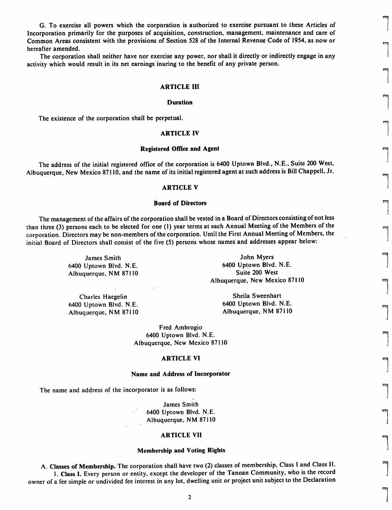G. To exercise all powers which the corporation is authorized to exercise pursuant to these Articles of Incorporation primarily for the purposes of acquisition, construction, management, maintenance and care of Common Areas consistent with the provisions of Section 528 of the Internal Revenue Code of 1954, as now or hereafter amended.

The corporation shall neither have nor exercise any power, nor shall it directly or indirectly engage in any activity which would result in its net earnings inuring to the benefit of any private person.

## *ARTICLE III*

## *Duration*

The existence of the corporation shall be perpetual.

## *ARTICLE IV*

#### *Registered Office and Agent* **m**

The address of the initial registered office of the corporation is 6400 Uptown Blvd., N.E., Suite 200 West, Albuquerque, New Mexico 87110, and the name of its initial registered agent at such address is Bill Chappell, Jr.

## *ARTICLE V*

#### **Board** of Directors

The management of the affairs of the corporation shall be vested in a Board of Directors consisting of not less than three (3) persons each to be elected for one (1) year terms at each Annual Meeting of the Members of the corporation. Directors may be non-members of the corporation. Until the First Annual Meeting of Members, the initial Board of Directors shall consist of the five (5) persons whose names and addresses appear below:

Albuquerque, NM 87110

John Myers **John Myers** The Smith Section 1.1 and 1.1 and 1.1 and 1.1 and 1.1 and 1.1 and 1.1 and 1.1 and 1.1 and 1.1 and 1.1 and 1.1 and 1.1 and 1.1 and 1.1 and 1.1 and 1.1 and 1.1 and 1.1 and 1.1 and 1.1 and 1.1 and 1.1 6400 Uptown Blvd. N.E.<br>Albuquerque, NM 87110 6400 Uptown Blvd. N.E.<br>Suite 200 West Albuquerque, New Mexico 87110 f^

6400 Uptown Blvd. N.E. 6400 Uptown Blvd. N.E. Albuquerque, NM 87110

Charles Haegelin **Sheila Sweenhart**<br>1. General Sheila Sweenhart<br>1. G400 Uptown Blvd. N.E.

Fred Ambrogio 6400 Uptown Blvd. N.E. Albuquerque, New Mexico 87110

## *ARTICLE VI «*

#### *Name and Address of Incorporator*

The name and address of the incorporator is as follows:

James Smith 6400 Uptown Blvd. N.E. ^ Albuquerque, NM 87110

#### *ARTICLE VII -*

#### *Membership and Voting Rights*

A. Classes of Membership. The corporation shall have two (2) classes of membership, Class I and Class II. 1. Class I. Every person or entity, except the developer of the Tanoan Community, who is the record owner of a fee simple or undivided fee interest in any lot, dwelling unit or project unit subject to the Declaration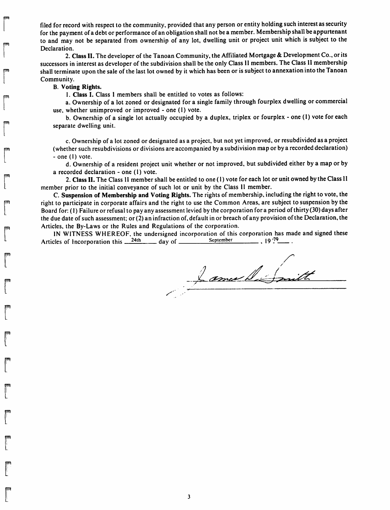filed for record with respect to the community, provided that any person or entity holding such interest as security for the payment of a debt or performance of an obligation shall not be a member. Membership shall be appurtenant to and may not be separated from ownership of any lot, dwelling unit or project unit which is subject to the Declaration.

2. Class II. The developer of the Tanoan Community, the Affiliated Mortgage & Development Co., or its successors in interest as developer of the subdivision shall be the only Class II members. The Class II membership shall terminate upon the sale of the last lot owned by it which has been or is subject to annexation into the Tanoan Community.

## *B. Voting Rights.*

*Vm\*

*si*

*!p!*

*PI*

*BS|*

*PI I*

*r*

*1. Class I.* Class 1 members shall be entitled to votes as follows:

a. Ownership of a lot zoned or designated for a single family through fourplex dwelling or commercial use, whether unimproved or improved - one (I) vote.

b. Ownership of a single lot actually occupied by a duplex, triplex or fourplex - one (1) vote for each separate dwelling unit.

c. Ownership of a lot zoned or designated as a project, but not yet improved, or resubdivided as a project (whether such resubdivisions or divisions are accompanied by a subdivision map or by a recorded declaration) - one (I) vote.

d. Ownership of a resident project unit whether or not improved, but subdivided either by a map or by a recorded declaration - one (1) vote.

2. Class II. The Class <sup>11</sup> member shall be entitled to one (1) vote for each lot or unit owned by the Class 11 member prior to the initial conveyance of such lot or unit by the Class II member.

C. Suspension of Membership and Voting Rights. The rights of membership, including the right to vote, the right to participate in corporate affairs and the right to use the Common Areas, are subject to suspension by the Board for: (1) Failure or refusal to pay any assessment levied by the corporation for a period of thirty (30) days after the due date of such assessment; or (2) an infraction of, default in or breach of any provision of the Declaration, the Articles, the By-Laws or the Rules and Regulations of the corporation.

IN WITNESS WHEREOF, the undersigned incorporation of this corporation has made and signed these<br>cles of Incorporation this  $2^{24}$ th dav of September (19.79 m) Articles of Incorporation this  $\frac{24th}{\pi}$  day of September

Lamuell Smit